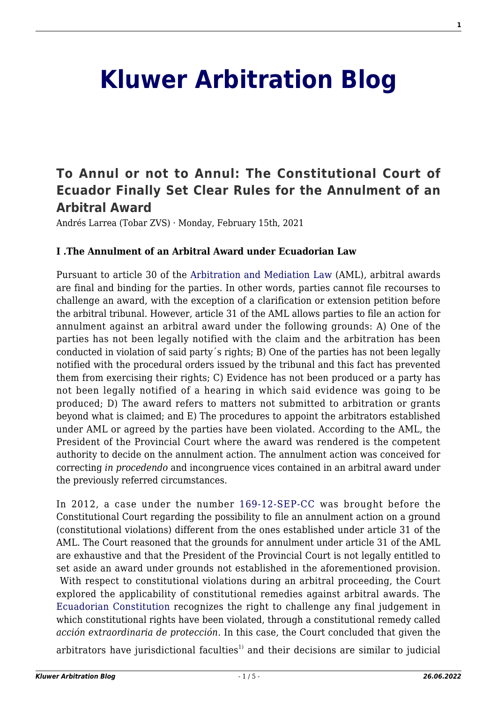# **[Kluwer Arbitration Blog](http://arbitrationblog.kluwerarbitration.com/)**

# **[To Annul or not to Annul: The Constitutional Court of](http://arbitrationblog.kluwerarbitration.com/2021/02/15/to-annul-or-not-to-annul-the-constitutional-court-of-ecuador-finally-set-clear-rules-for-the-annulment-of-an-arbitral-award/) [Ecuador Finally Set Clear Rules for the Annulment of an](http://arbitrationblog.kluwerarbitration.com/2021/02/15/to-annul-or-not-to-annul-the-constitutional-court-of-ecuador-finally-set-clear-rules-for-the-annulment-of-an-arbitral-award/) [Arbitral Award](http://arbitrationblog.kluwerarbitration.com/2021/02/15/to-annul-or-not-to-annul-the-constitutional-court-of-ecuador-finally-set-clear-rules-for-the-annulment-of-an-arbitral-award/)**

Andrés Larrea (Tobar ZVS) · Monday, February 15th, 2021

#### **I .The Annulment of an Arbitral Award under Ecuadorian Law**

Pursuant to article 30 of the [Arbitration and Mediation Law](https://ccq.ec/wp-content/uploads/2019/01/Ley-de-Arbitraje-y-Mediacio%CC%81n.pdf) (AML), arbitral awards are final and binding for the parties. In other words, parties cannot file recourses to challenge an award, with the exception of a clarification or extension petition before the arbitral tribunal. However, article 31 of the AML allows parties to file an action for annulment against an arbitral award under the following grounds: A) One of the parties has not been legally notified with the claim and the arbitration has been conducted in violation of said party´s rights; B) One of the parties has not been legally notified with the procedural orders issued by the tribunal and this fact has prevented them from exercising their rights; C) Evidence has not been produced or a party has not been legally notified of a hearing in which said evidence was going to be produced; D) The award refers to matters not submitted to arbitration or grants beyond what is claimed; and E) The procedures to appoint the arbitrators established under AML or agreed by the parties have been violated. According to the AML, the President of the Provincial Court where the award was rendered is the competent authority to decide on the annulment action. The annulment action was conceived for correcting *in procedendo* and incongruence vices contained in an arbitral award under the previously referred circumstances.

In 2012, a case under the number [169-12-SEP-CC](http://doc.corteconstitucional.gob.ec:8080/alfresco/d/d/workspace/SpacesStore/247162f1-854d-4b29-bedf-a6a2bfab2b79/1568-10-EP-sent.pdf) was brought before the Constitutional Court regarding the possibility to file an annulment action on a ground (constitutional violations) different from the ones established under article 31 of the AML. The Court reasoned that the grounds for annulment under article 31 of the AML are exhaustive and that the President of the Provincial Court is not legally entitled to set aside an award under grounds not established in the aforementioned provision. With respect to constitutional violations during an arbitral proceeding, the Court explored the applicability of constitutional remedies against arbitral awards. The [Ecuadorian Constitution](https://www.wipo.int/edocs/lexdocs/laws/es/ec/ec030es.pdf) recognizes the right to challenge any final judgement in which constitutional rights have been violated, through a constitutional remedy called *acción extraordinaria de protección*. In this case, the Court concluded that given the

arbitrators have jurisdictional faculties<sup>1)</sup> and their decisions are similar to judicial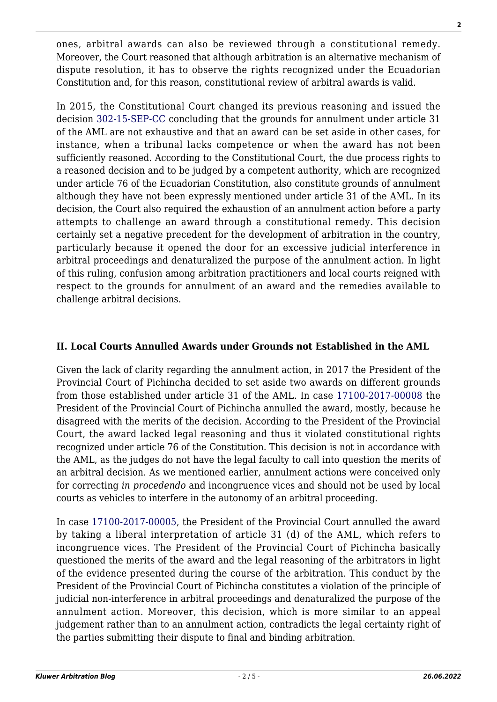ones, arbitral awards can also be reviewed through a constitutional remedy. Moreover, the Court reasoned that although arbitration is an alternative mechanism of dispute resolution, it has to observe the rights recognized under the Ecuadorian Constitution and, for this reason, constitutional review of arbitral awards is valid.

In 2015, the Constitutional Court changed its previous reasoning and issued the decision [302-15-SEP-CC](http://doc.corteconstitucional.gob.ec:8080/alfresco/d/d/workspace/SpacesStore/e996fc6e-513e-416f-b350-eddb1c8d9b3f/0880-13-ep-sen.pdf?guest=true) concluding that the grounds for annulment under article 31 of the AML are not exhaustive and that an award can be set aside in other cases, for instance, when a tribunal lacks competence or when the award has not been sufficiently reasoned. According to the Constitutional Court, the due process rights to a reasoned decision and to be judged by a competent authority, which are recognized under article 76 of the Ecuadorian Constitution, also constitute grounds of annulment although they have not been expressly mentioned under article 31 of the AML. In its decision, the Court also required the exhaustion of an annulment action before a party attempts to challenge an award through a constitutional remedy. This decision certainly set a negative precedent for the development of arbitration in the country, particularly because it opened the door for an excessive judicial interference in arbitral proceedings and denaturalized the purpose of the annulment action. In light of this ruling, confusion among arbitration practitioners and local courts reigned with respect to the grounds for annulment of an award and the remedies available to challenge arbitral decisions.

### **II. Local Courts Annulled Awards under Grounds not Established in the AML**

Given the lack of clarity regarding the annulment action, in 2017 the President of the Provincial Court of Pichincha decided to set aside two awards on different grounds from those established under article 31 of the AML. In case [17100-2017-00008](http://consultas.funcionjudicial.gob.ec/informacionjudicial/public/informacion.jsf) the President of the Provincial Court of Pichincha annulled the award, mostly, because he disagreed with the merits of the decision. According to the President of the Provincial Court, the award lacked legal reasoning and thus it violated constitutional rights recognized under article 76 of the Constitution. This decision is not in accordance with the AML, as the judges do not have the legal faculty to call into question the merits of an arbitral decision. As we mentioned earlier, annulment actions were conceived only for correcting *in procedendo* and incongruence vices and should not be used by local courts as vehicles to interfere in the autonomy of an arbitral proceeding.

In case [17100-2017-00005,](http://consultas.funcionjudicial.gob.ec/informacionjudicial/public/informacion.jsf) the President of the Provincial Court annulled the award by taking a liberal interpretation of article 31 (d) of the AML, which refers to incongruence vices. The President of the Provincial Court of Pichincha basically questioned the merits of the award and the legal reasoning of the arbitrators in light of the evidence presented during the course of the arbitration. This conduct by the President of the Provincial Court of Pichincha constitutes a violation of the principle of judicial non-interference in arbitral proceedings and denaturalized the purpose of the annulment action. Moreover, this decision, which is more similar to an appeal judgement rather than to an annulment action, contradicts the legal certainty right of the parties submitting their dispute to final and binding arbitration.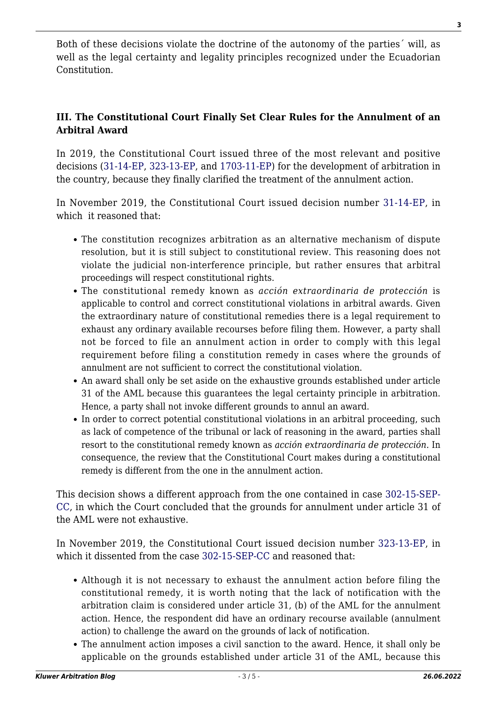Both of these decisions violate the doctrine of the autonomy of the parties´ will, as well as the legal certainty and legality principles recognized under the Ecuadorian Constitution.

#### **III. The Constitutional Court Finally Set Clear Rules for the Annulment of an Arbitral Award**

In 2019, the Constitutional Court issued three of the most relevant and positive decisions [\(31-14-EP](http://doc.corteconstitucional.gob.ec:8080/alfresco/d/d/workspace/SpacesStore/68ceed39-4300-491a-b7b5-a6206ec8b4a5/31-14-ep-19_(0031-14-ep).pdf?guest=true), [323-13-EP,](http://doc.corteconstitucional.gob.ec:8080/alfresco/d/d/workspace/SpacesStore/7c7f34bf-4eb8-4bdf-8ad9-9359a1e3b2db/0323-13-ep-sen.pdf?guest=true) and [1703-11-EP](http://doc.corteconstitucional.gob.ec:8080/alfresco/d/d/workspace/SpacesStore/ff3eb2fd-9f5a-4fc5-8851-2a64dd09cfbe/1703-11-ep-19_(1703-11-ep).pdf?guest=true)) for the development of arbitration in the country, because they finally clarified the treatment of the annulment action.

In November 2019, the Constitutional Court issued decision number [31-14-EP](http://doc.corteconstitucional.gob.ec:8080/alfresco/d/d/workspace/SpacesStore/68ceed39-4300-491a-b7b5-a6206ec8b4a5/31-14-ep-19_(0031-14-ep).pdf?guest=true), in which it reasoned that:

- The constitution recognizes arbitration as an alternative mechanism of dispute resolution, but it is still subject to constitutional review. This reasoning does not violate the judicial non-interference principle, but rather ensures that arbitral proceedings will respect constitutional rights.
- The constitutional remedy known as *acción extraordinaria de protección* is applicable to control and correct constitutional violations in arbitral awards. Given the extraordinary nature of constitutional remedies there is a legal requirement to exhaust any ordinary available recourses before filing them. However, a party shall not be forced to file an annulment action in order to comply with this legal requirement before filing a constitution remedy in cases where the grounds of annulment are not sufficient to correct the constitutional violation.
- An award shall only be set aside on the exhaustive grounds established under article 31 of the AML because this guarantees the legal certainty principle in arbitration. Hence, a party shall not invoke different grounds to annul an award.
- In order to correct potential constitutional violations in an arbitral proceeding, such as lack of competence of the tribunal or lack of reasoning in the award, parties shall resort to the constitutional remedy known as *acción extraordinaria de protección.* In consequence, the review that the Constitutional Court makes during a constitutional remedy is different from the one in the annulment action.

This decision shows a different approach from the one contained in case [302-15-SEP-](http://doc.corteconstitucional.gob.ec:8080/alfresco/d/d/workspace/SpacesStore/e996fc6e-513e-416f-b350-eddb1c8d9b3f/0880-13-ep-sen.pdf?guest=true)[CC,](http://doc.corteconstitucional.gob.ec:8080/alfresco/d/d/workspace/SpacesStore/e996fc6e-513e-416f-b350-eddb1c8d9b3f/0880-13-ep-sen.pdf?guest=true) in which the Court concluded that the grounds for annulment under article 31 of the AML were not exhaustive.

In November 2019, the Constitutional Court issued decision number [323-13-EP,](http://doc.corteconstitucional.gob.ec:8080/alfresco/d/d/workspace/SpacesStore/7c7f34bf-4eb8-4bdf-8ad9-9359a1e3b2db/0323-13-ep-sen.pdf?guest=true) in which it dissented from the case [302-15-SEP-CC](http://doc.corteconstitucional.gob.ec:8080/alfresco/d/d/workspace/SpacesStore/e996fc6e-513e-416f-b350-eddb1c8d9b3f/0880-13-ep-sen.pdf?guest=true) and reasoned that:

- Although it is not necessary to exhaust the annulment action before filing the constitutional remedy, it is worth noting that the lack of notification with the arbitration claim is considered under article 31, (b) of the AML for the annulment action. Hence, the respondent did have an ordinary recourse available (annulment action) to challenge the award on the grounds of lack of notification.
- The annulment action imposes a civil sanction to the award. Hence, it shall only be applicable on the grounds established under article 31 of the AML, because this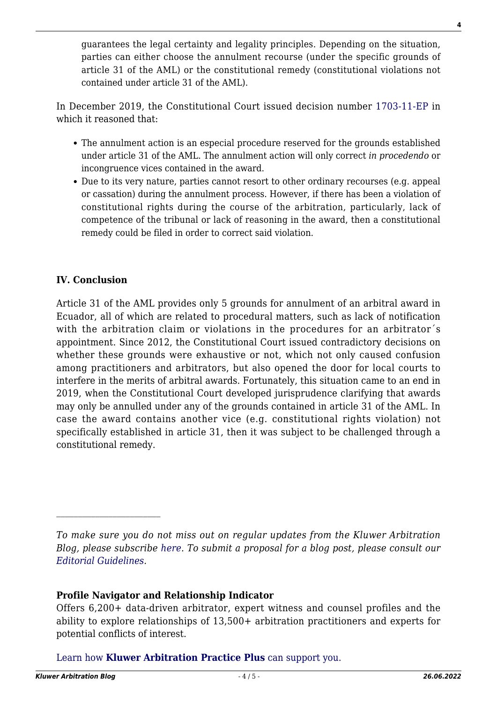guarantees the legal certainty and legality principles. Depending on the situation, parties can either choose the annulment recourse (under the specific grounds of article 31 of the AML) or the constitutional remedy (constitutional violations not contained under article 31 of the AML).

In December 2019, the Constitutional Court issued decision number [1703-11-EP](http://doc.corteconstitucional.gob.ec:8080/alfresco/d/d/workspace/SpacesStore/ff3eb2fd-9f5a-4fc5-8851-2a64dd09cfbe/1703-11-ep-19_(1703-11-ep).pdf?guest=true) in which it reasoned that:

- The annulment action is an especial procedure reserved for the grounds established under article 31 of the AML. The annulment action will only correct *in procedendo* or incongruence vices contained in the award.
- Due to its very nature, parties cannot resort to other ordinary recourses (e.g. appeal or cassation) during the annulment process. However, if there has been a violation of constitutional rights during the course of the arbitration, particularly, lack of competence of the tribunal or lack of reasoning in the award, then a constitutional remedy could be filed in order to correct said violation.

## **IV. Conclusion**

Article 31 of the AML provides only 5 grounds for annulment of an arbitral award in Ecuador, all of which are related to procedural matters, such as lack of notification with the arbitration claim or violations in the procedures for an arbitrator's appointment. Since 2012, the Constitutional Court issued contradictory decisions on whether these grounds were exhaustive or not, which not only caused confusion among practitioners and arbitrators, but also opened the door for local courts to interfere in the merits of arbitral awards. Fortunately, this situation came to an end in 2019, when the Constitutional Court developed jurisprudence clarifying that awards may only be annulled under any of the grounds contained in article 31 of the AML. In case the award contains another vice (e.g. constitutional rights violation) not specifically established in article 31, then it was subject to be challenged through a constitutional remedy.

*To make sure you do not miss out on regular updates from the Kluwer Arbitration Blog, please subscribe [here](http://arbitrationblog.kluwerarbitration.com/newsletter/). To submit a proposal for a blog post, please consult our [Editorial Guidelines.](http://arbitrationblog.kluwerarbitration.com/editorial-guidelines/)*

#### **Profile Navigator and Relationship Indicator**

Offers 6,200+ data-driven arbitrator, expert witness and counsel profiles and the ability to explore relationships of 13,500+ arbitration practitioners and experts for potential conflicts of interest.

[Learn how](https://www.wolterskluwer.com/en/solutions/kluwerarbitration/practiceplus?utm_source=arbitrationblog&utm_medium=articleCTA&utm_campaign=article-banner) **[Kluwer Arbitration Practice Plus](https://www.wolterskluwer.com/en/solutions/kluwerarbitration/practiceplus?utm_source=arbitrationblog&utm_medium=articleCTA&utm_campaign=article-banner)** [can support you.](https://www.wolterskluwer.com/en/solutions/kluwerarbitration/practiceplus?utm_source=arbitrationblog&utm_medium=articleCTA&utm_campaign=article-banner)